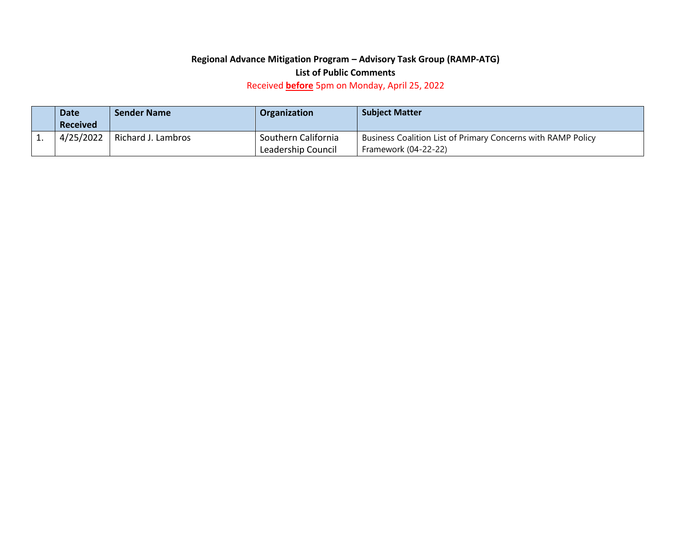## **Regional Advance Mitigation Program – Advisory Task Group (RAMP-ATG)**

## **List of Public Comments**

Received **before** 5pm on Monday, April 25, 2022

| <b>Date</b><br><b>Received</b> | <b>Sender Name</b> | Organization                              | <b>Subject Matter</b>                                                                |
|--------------------------------|--------------------|-------------------------------------------|--------------------------------------------------------------------------------------|
| 4/25/2022                      | Richard J. Lambros | Southern California<br>Leadership Council | Business Coalition List of Primary Concerns with RAMP Policy<br>Framework (04-22-22) |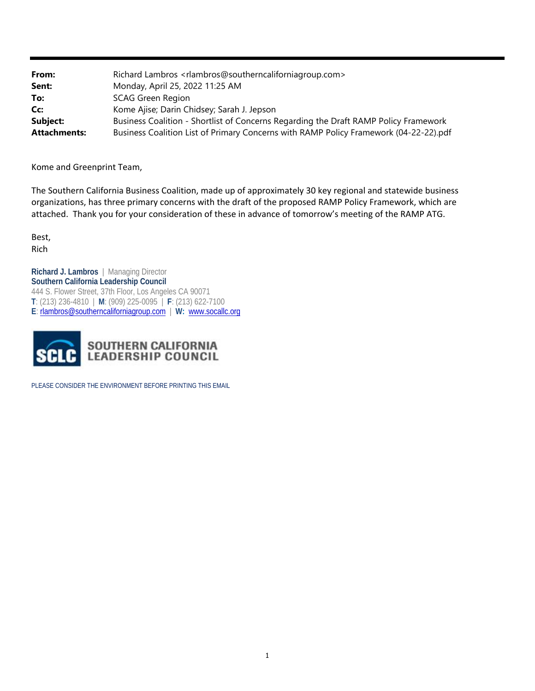| From:               | Richard Lambros <rlambros@southerncaliforniagroup.com></rlambros@southerncaliforniagroup.com> |  |
|---------------------|-----------------------------------------------------------------------------------------------|--|
| Sent:               | Monday, April 25, 2022 11:25 AM                                                               |  |
| To:                 | <b>SCAG Green Region</b>                                                                      |  |
| Cc:                 | Kome Ajise; Darin Chidsey; Sarah J. Jepson                                                    |  |
| Subject:            | Business Coalition - Shortlist of Concerns Regarding the Draft RAMP Policy Framework          |  |
| <b>Attachments:</b> | Business Coalition List of Primary Concerns with RAMP Policy Framework (04-22-22).pdf         |  |

Kome and Greenprint Team,

The Southern California Business Coalition, made up of approximately 30 key regional and statewide business organizations, has three primary concerns with the draft of the proposed RAMP Policy Framework, which are attached. Thank you for your consideration of these in advance of tomorrow's meeting of the RAMP ATG.

Best, Rich

**Richard J. Lambros** | Managing Director **Southern California Leadership Council** 444 S. Flower Street, 37th Floor, Los Angeles CA 90071 **T**: (213) 236-4810| **M**: (909) 225-0095 | **F**: (213) 622-7100 **E**: rlambros@southerncaliforniagroup.com | **W:** www.socallc.org



PLEASE CONSIDER THE ENVIRONMENT BEFORE PRINTING THIS EMAIL